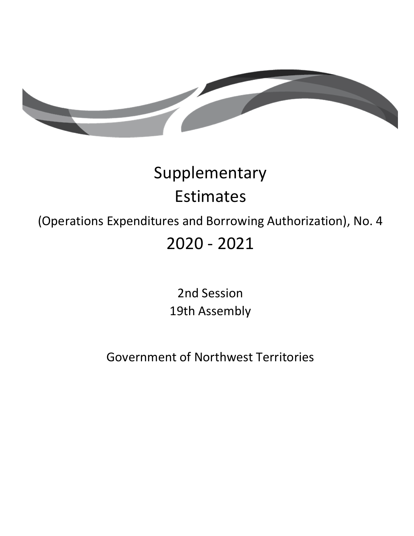TD 466-19(2) TABLED ON NOVEMBER 23, 2021



# Supplementary Estimates

### (Operations Expenditures and Borrowing Authorization), No. 4 2020 - 2021

## 2nd Session 19th Assembly

### Government of Northwest Territories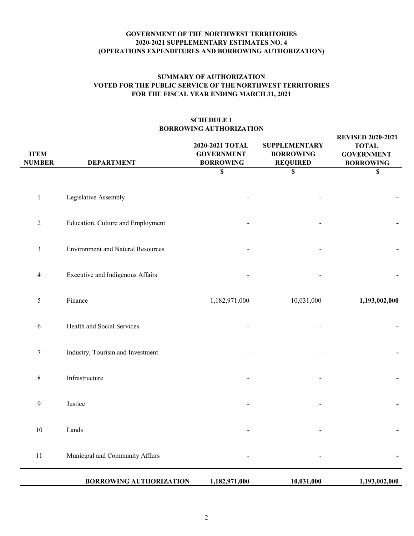#### **GOVERNMENT OF THE NORTHWEST TERRITORIES 2020-2021 SUPPLEMENTARY ESTIMATES NO. 4 (OPERATIONS EXPENDITURES AND BORROWING AUTHORIZATION)**

#### **FOR THE FISCAL YEAR ENDING MARCH 31, 2021 SUMMARY OF AUTHORIZATION VOTED FOR THE PUBLIC SERVICE OF THE NORTHWEST TERRITORIES**

#### **SCHEDULE 1 BORROWING AUTHORIZATION**

| <b>ITEM</b><br><b>NUMBER</b> | <b>DEPARTMENT</b>                        | 2020-2021 TOTAL<br><b>GOVERNMENT</b><br><b>BORROWING</b> | <b>SUPPLEMENTARY</b><br><b>BORROWING</b><br><b>REQUIRED</b> | <b>REVISED 2020-2021</b><br><b>TOTAL</b><br><b>GOVERNMENT</b><br><b>BORROWING</b> |
|------------------------------|------------------------------------------|----------------------------------------------------------|-------------------------------------------------------------|-----------------------------------------------------------------------------------|
|                              |                                          | \$                                                       | \$                                                          | \$                                                                                |
| $\mathbf{1}$                 | Legislative Assembly                     |                                                          |                                                             |                                                                                   |
| $\mathbf{2}$                 | Education, Culture and Employment        |                                                          |                                                             |                                                                                   |
| $\mathfrak{Z}$               | <b>Environment and Natural Resources</b> |                                                          |                                                             |                                                                                   |
| $\overline{\mathbf{4}}$      | Executive and Indigenous Affairs         |                                                          |                                                             |                                                                                   |
| 5                            | Finance                                  | 1,182,971,000                                            | 10,031,000                                                  | 1,193,002,000                                                                     |
| 6                            | Health and Social Services               |                                                          |                                                             |                                                                                   |
| $\tau$                       | Industry, Tourism and Investment         |                                                          |                                                             |                                                                                   |
| $8\,$                        | Infrastructure                           |                                                          |                                                             |                                                                                   |
| 9                            | Justice                                  |                                                          |                                                             |                                                                                   |
| 10                           | Lands                                    |                                                          |                                                             |                                                                                   |
| 11                           | Municipal and Community Affairs          |                                                          |                                                             |                                                                                   |
|                              | <b>BORROWING AUTHORIZATION</b>           | 1,182,971,000                                            | 10,031,000                                                  | 1,193,002,000                                                                     |